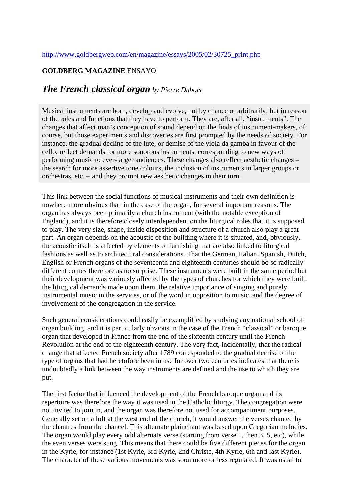## **GOLDBERG MAGAZINE** ENSAYO

## *The French classical organ by Pierre Dubois*

Musical instruments are born, develop and evolve, not by chance or arbitrarily, but in reason of the roles and functions that they have to perform. They are, after all, "instruments". The changes that affect man's conception of sound depend on the finds of instrument-makers, of course, but those experiments and discoveries are first prompted by the needs of society. For instance, the gradual decline of the lute, or demise of the viola da gamba in favour of the cello, reflect demands for more sonorous instruments, corresponding to new ways of performing music to ever-larger audiences. These changes also reflect aesthetic changes – the search for more assertive tone colours, the inclusion of instruments in larger groups or orchestras, etc. – and they prompt new aesthetic changes in their turn.

This link between the social functions of musical instruments and their own definition is nowhere more obvious than in the case of the organ, for several important reasons. The organ has always been primarily a church instrument (with the notable exception of England), and it is therefore closely interdependent on the liturgical roles that it is supposed to play. The very size, shape, inside disposition and structure of a church also play a great part. An organ depends on the acoustic of the building where it is situated, and, obviously, the acoustic itself is affected by elements of furnishing that are also linked to liturgical fashions as well as to architectural considerations. That the German, Italian, Spanish, Dutch, English or French organs of the seventeenth and eighteenth centuries should be so radically different comes therefore as no surprise. These instruments were built in the same period but their development was variously affected by the types of churches for which they were built, the liturgical demands made upon them, the relative importance of singing and purely instrumental music in the services, or of the word in opposition to music, and the degree of involvement of the congregation in the service.

Such general considerations could easily be exemplified by studying any national school of organ building, and it is particularly obvious in the case of the French "classical" or baroque organ that developed in France from the end of the sixteenth century until the French Revolution at the end of the eighteenth century. The very fact, incidentally, that the radical change that affected French society after 1789 corresponded to the gradual demise of the type of organs that had heretofore been in use for over two centuries indicates that there is undoubtedly a link between the way instruments are defined and the use to which they are put.

The first factor that influenced the development of the French baroque organ and its repertoire was therefore the way it was used in the Catholic liturgy. The congregation were not invited to join in, and the organ was therefore not used for accompaniment purposes. Generally set on a loft at the west end of the church, it would answer the verses chanted by the chantres from the chancel. This alternate plainchant was based upon Gregorian melodies. The organ would play every odd alternate verse (starting from verse 1, then 3, 5, etc), while the even verses were sung. This means that there could be five different pieces for the organ in the Kyrie, for instance (1st Kyrie, 3rd Kyrie, 2nd Christe, 4th Kyrie, 6th and last Kyrie). The character of these various movements was soon more or less regulated. It was usual to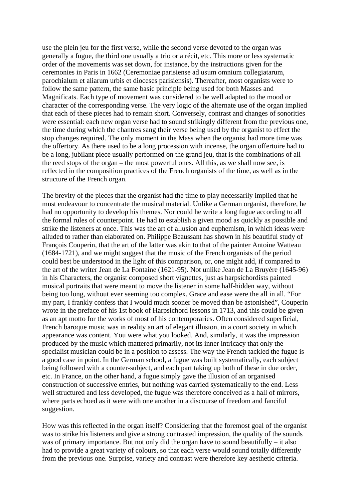use the plein jeu for the first verse, while the second verse devoted to the organ was generally a fugue, the third one usually a trio or a récit, etc. This more or less systematic order of the movements was set down, for instance, by the instructions given for the ceremonies in Paris in 1662 (Ceremoniae parisiense ad usum omnium collegiatarum, parochialum et aliarum urbis et dioceses parisiensis). Thereafter, most organists were to follow the same pattern, the same basic principle being used for both Masses and Magnificats. Each type of movement was considered to be well adapted to the mood or character of the corresponding verse. The very logic of the alternate use of the organ implied that each of these pieces had to remain short. Conversely, contrast and changes of sonorities were essential: each new organ verse had to sound strikingly different from the previous one, the time during which the chantres sang their verse being used by the organist to effect the stop changes required. The only moment in the Mass when the organist had more time was the offertory. As there used to be a long procession with incense, the organ offertoire had to be a long, jubilant piece usually performed on the grand jeu, that is the combinations of all the reed stops of the organ – the most powerful ones. All this, as we shall now see, is reflected in the composition practices of the French organists of the time, as well as in the structure of the French organ.

The brevity of the pieces that the organist had the time to play necessarily implied that he must endeavour to concentrate the musical material. Unlike a German organist, therefore, he had no opportunity to develop his themes. Nor could he write a long fugue according to all the formal rules of counterpoint. He had to establish a given mood as quickly as possible and strike the listeners at once. This was the art of allusion and euphemism, in which ideas were alluded to rather than elaborated on. Philippe Beaussant has shown in his beautiful study of François Couperin, that the art of the latter was akin to that of the painter Antoine Watteau (1684-1721), and we might suggest that the music of the French organists of the period could best be understood in the light of this comparison, or, one might add, if compared to the art of the writer Jean de La Fontaine (1621-95). Not unlike Jean de La Bruyère (1645-96) in his Characters, the organist composed short vignettes, just as harpsichordists painted musical portraits that were meant to move the listener in some half-hidden way, without being too long, without ever seeming too complex. Grace and ease were the all in all. "For my part, I frankly confess that I would much sooner be moved than be astonished", Couperin wrote in the preface of his 1st book of Harpsichord lessons in 1713, and this could be given as an apt motto for the works of most of his contemporaries. Often considered superficial, French baroque music was in reality an art of elegant illusion, in a court society in which appearance was content. You were what you looked. And, similarly, it was the impression produced by the music which mattered primarily, not its inner intricacy that only the specialist musician could be in a position to assess. The way the French tackled the fugue is a good case in point. In the German school, a fugue was built systematically, each subject being followed with a counter-subject, and each part taking up both of these in due order, etc. In France, on the other hand, a fugue simply gave the illusion of an organised construction of successive entries, but nothing was carried systematically to the end. Less well structured and less developed, the fugue was therefore conceived as a hall of mirrors, where parts echoed as it were with one another in a discourse of freedom and fanciful suggestion.

How was this reflected in the organ itself? Considering that the foremost goal of the organist was to strike his listeners and give a strong contrasted impression, the quality of the sounds was of primary importance. But not only did the organ have to sound beautifully – it also had to provide a great variety of colours, so that each verse would sound totally differently from the previous one. Surprise, variety and contrast were therefore key aesthetic criteria.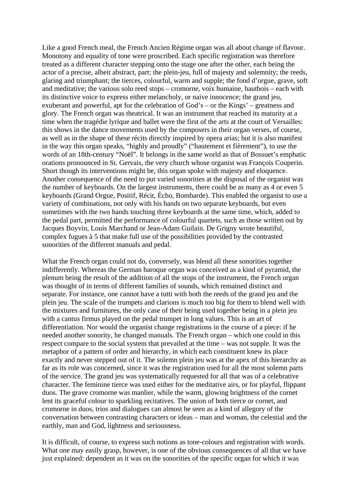Like a good French meal, the French Ancien Régime organ was all about change of flavour. Monotony and equality of tone were proscribed. Each specific registration was therefore treated as a different character stepping onto the stage one after the other, each being the actor of a precise, albeit abstract, part: the plein-jeu, full of majesty and solemnity; the reeds, glaring and triumphant; the tierces, colourful, warm and supple; the fond d'orgue, grave, soft and meditative; the various solo reed stops – cromorne, voix humaine, hautbois – each with its distinctive voice to express either melancholy, or naive innocence; the grand jeu, exuberant and powerful, apt for the celebration of God's – or the Kings' – greatness and glory. The French organ was theatrical. It was an instrument that reached its maturity at a time when the tragédie lyrique and ballet were the first of the arts at the court of Versailles: this shows in the dance movements used by the composers in their organ verses, of course, as well as in the shape of these récits directly inspired by opera arias; but it is also manifest in the way this organ speaks, "highly and proudly" ("hautement et fièrement"), to use the words of an 18th-century "Noël". It belongs in the same world as that of Bossuet's emphatic orations pronounced in St. Gervais, the very church whose organist was François Couperin. Short though its interventions might be, this organ spoke with majesty and eloquence. Another consequence of the need to put varied sonorities at the disposal of the organist was the number of keyboards. On the largest instruments, there could be as many as 4 or even 5 keyboards (Grand Orgue, Positif, Récit, Écho, Bombarde). This enabled the organist to use a variety of combinations, not only with his hands on two separate keyboards, but even sometimes with the two hands touching three keyboards at the same time, which, added to the pedal part, permitted the performance of colourful quartets, such as those written out by Jacques Boyvin, Louis Marchand or Jean-Adam Guilain. De Grigny wrote beautiful, complex fugues à 5 that make full use of the possibilities provided by the contrasted sonorities of the different manuals and pedal.

What the French organ could not do, conversely, was blend all these sonorities together indifferently. Whereas the German baroque organ was conceived as a kind of pyramid, the plenum being the result of the addition of all the stops of the instrument, the French organ was thought of in terms of different families of sounds, which remained distinct and separate. For instance, one cannot have a tutti with both the reeds of the grand jeu and the plein jeu. The scale of the trumpets and clarions is much too big for them to blend well with the mixtures and furnitures, the only case of their being used together being in a plein jeu with a cantus firmus played on the pedal trumpet in long values. This is an art of differentiation. Nor would the organist change registrations in the course of a piece: if he needed another sonority, he changed manuals. The French organ – which one could in this respect compare to the social system that prevailed at the time – was not supple. It was the metaphor of a pattern of order and hierarchy, in which each constituent knew its place exactly and never stepped out of it. The solemn plein jeu was at the apex of this hierarchy as far as its role was concerned, since it was the registration used for all the most solemn parts of the service. The grand jeu was systematically requested for all that was of a celebrative character. The feminine tierce was used either for the meditative airs, or for playful, flippant duos. The grave cromorne was manlier, while the warm, glowing brightness of the cornet lent its graceful colour to sparkling recitatives. The union of both tierce or cornet, and cromorne in duos, trios and dialogues can almost be seen as a kind of allegory of the conversation between contrasting characters or ideas – man and woman, the celestial and the earthly, man and God, lightness and seriousness.

It is difficult, of course, to express such notions as tone-colours and registration with words. What one may easily grasp, however, is one of the obvious consequences of all that we have just explained: dependent as it was on the sonorities of the specific organ for which it was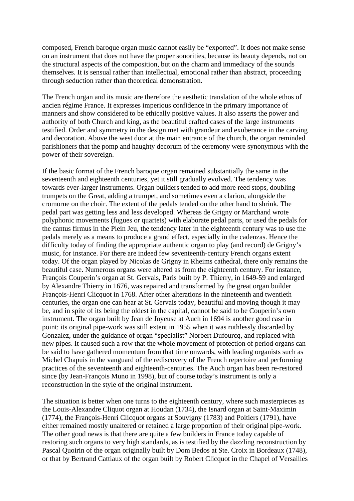composed, French baroque organ music cannot easily be "exported". It does not make sense on an instrument that does not have the proper sonorities, because its beauty depends, not on the structural aspects of the composition, but on the charm and immediacy of the sounds themselves. It is sensual rather than intellectual, emotional rather than abstract, proceeding through seduction rather than theoretical demonstration.

The French organ and its music are therefore the aesthetic translation of the whole ethos of ancien régime France. It expresses imperious confidence in the primary importance of manners and show considered to be ethically positive values. It also asserts the power and authority of both Church and king, as the beautiful crafted cases of the large instruments testified. Order and symmetry in the design met with grandeur and exuberance in the carving and decoration. Above the west door at the main entrance of the church, the organ reminded parishioners that the pomp and haughty decorum of the ceremony were synonymous with the power of their sovereign.

If the basic format of the French baroque organ remained substantially the same in the seventeenth and eighteenth centuries, yet it still gradually evolved. The tendency was towards ever-larger instruments. Organ builders tended to add more reed stops, doubling trumpets on the Great, adding a trumpet, and sometimes even a clarion, alongside the cromorne on the choir. The extent of the pedals tended on the other hand to shrink. The pedal part was getting less and less developed. Whereas de Grigny or Marchand wrote polyphonic movements (fugues or quartets) with elaborate pedal parts, or used the pedals for the cantus firmus in the Plein Jeu, the tendency later in the eighteenth century was to use the pedals merely as a means to produce a grand effect, especially in the cadenzas. Hence the difficulty today of finding the appropriate authentic organ to play (and record) de Grigny's music, for instance. For there are indeed few seventeenth-century French organs extent today. Of the organ played by Nicolas de Grigny in Rheims cathedral, there only remains the beautiful case. Numerous organs were altered as from the eighteenth century. For instance, François Couperin's organ at St. Gervais, Paris built by P. Thierry, in 1649-59 and enlarged by Alexandre Thierry in 1676, was repaired and transformed by the great organ builder François-Henri Clicquot in 1768. After other alterations in the nineteenth and twentieth centuries, the organ one can hear at St. Gervais today, beautiful and moving though it may be, and in spite of its being the oldest in the capital, cannot be said to be Couperin's own instrument. The organ built by Jean de Joyeuse at Auch in 1694 is another good case in point: its original pipe-work was still extent in 1955 when it was ruthlessly discarded by Gonzalez, under the guidance of organ "specialist" Norbert Dufourcq, and replaced with new pipes. It caused such a row that the whole movement of protection of period organs can be said to have gathered momentum from that time onwards, with leading organists such as Michel Chapuis in the vanguard of the rediscovery of the French repertoire and performing practices of the seventeenth and eighteenth-centuries. The Auch organ has been re-restored since (by Jean-François Muno in 1998), but of course today's instrument is only a reconstruction in the style of the original instrument.

The situation is better when one turns to the eighteenth century, where such masterpieces as the Louis-Alexandre Cliquot organ at Houdan (1734), the Isnard organ at Saint-Maximin (1774), the François-Henri Clicquot organs at Souvigny (1783) and Poitiers (1791), have either remained mostly unaltered or retained a large proportion of their original pipe-work. The other good news is that there are quite a few builders in France today capable of restoring such organs to very high standards, as is testified by the dazzling reconstruction by Pascal Quoirin of the organ originally built by Dom Bedos at Ste. Croix in Bordeaux (1748), or that by Bertrand Cattiaux of the organ built by Robert Clicquot in the Chapel of Versailles